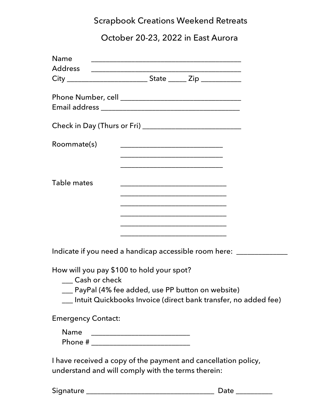# Scrapbook Creations Weekend Retreats

# October 20-23, 2022 in East Aurora

| Name                                      |                                                                                                                      |
|-------------------------------------------|----------------------------------------------------------------------------------------------------------------------|
|                                           |                                                                                                                      |
|                                           |                                                                                                                      |
|                                           |                                                                                                                      |
|                                           |                                                                                                                      |
|                                           |                                                                                                                      |
|                                           |                                                                                                                      |
|                                           | Check in Day (Thurs or Fri) _________________________________                                                        |
| Roommate(s)                               |                                                                                                                      |
|                                           |                                                                                                                      |
|                                           |                                                                                                                      |
|                                           | <u> 1980 - Johann John Stone, mars eta biztanleria (h. 1980).</u>                                                    |
| Table mates                               |                                                                                                                      |
|                                           |                                                                                                                      |
|                                           |                                                                                                                      |
|                                           |                                                                                                                      |
|                                           | <u> 1980 - Johann Barn, mars eta bat erroman erroman erroman erroman erroman erroman erroman erroman erroman err</u> |
|                                           |                                                                                                                      |
|                                           | <u> 1980 - Johann Barbara, martxa alemaniar arg</u>                                                                  |
|                                           |                                                                                                                      |
|                                           | Indicate if you need a handicap accessible room here: _____________                                                  |
|                                           |                                                                                                                      |
| How will you pay \$100 to hold your spot? |                                                                                                                      |

\_\_\_ Cash or check

\_\_\_ PayPal (4% fee added, use PP button on website)

\_\_\_ Intuit Quickbooks Invoice (direct bank transfer, no added fee)

Emergency Contact:

| Name.   |  |
|---------|--|
| Phone # |  |

I have received a copy of the payment and cancellation policy, understand and will comply with the terms therein:

| Signature |  |  |  |  |
|-----------|--|--|--|--|
|           |  |  |  |  |

Signature \_\_\_\_\_\_\_\_\_\_\_\_\_\_\_\_\_\_\_\_\_\_\_\_\_\_\_\_\_\_\_\_\_\_\_ Date \_\_\_\_\_\_\_\_\_\_